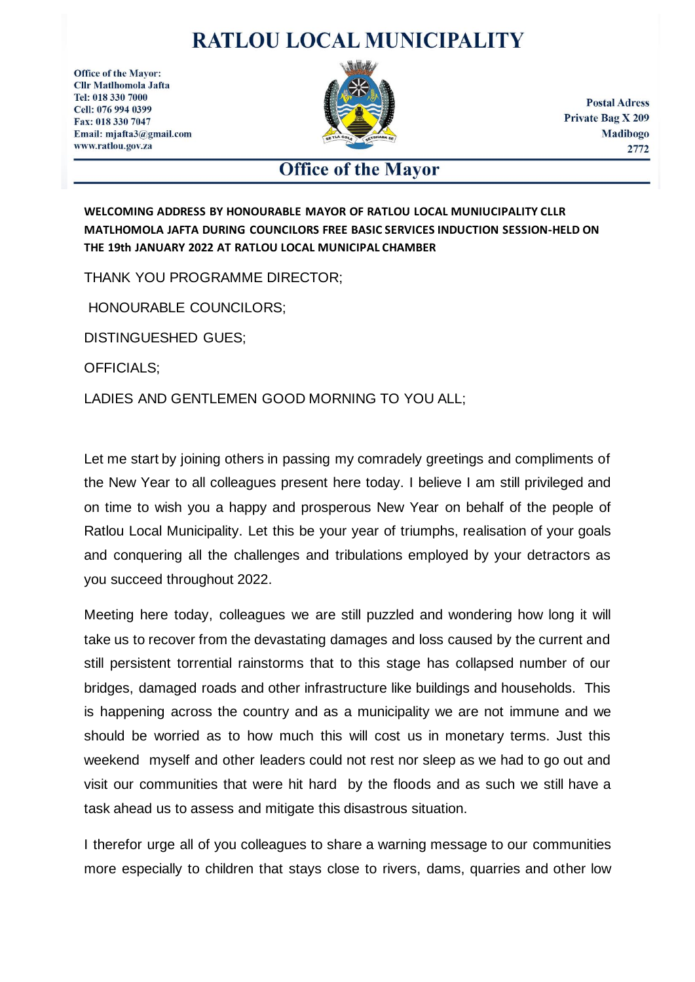## **RATLOU LOCAL MUNICIPALITY**

**Office of the Mayor: Cllr Matlhomola Jafta** Tel: 018 330 7000 Cell: 076 994 0399 Fax: 018 330 7047 Email: mjafta3@gmail.com www.ratlou.gov.za



**Postal Adress Private Bag X 209 Madibogo** 2772

## **Office of the Mayor**

**WELCOMING ADDRESS BY HONOURABLE MAYOR OF RATLOU LOCAL MUNIUCIPALITY CLLR MATLHOMOLA JAFTA DURING COUNCILORS FREE BASIC SERVICES INDUCTION SESSION-HELD ON THE 19th JANUARY 2022 AT RATLOU LOCAL MUNICIPAL CHAMBER** 

THANK YOU PROGRAMME DIRECTOR;

HONOURABLE COUNCILORS;

DISTINGUESHED GUES;

OFFICIALS;

LADIES AND GENTLEMEN GOOD MORNING TO YOU ALL;

Let me start by joining others in passing my comradely greetings and compliments of the New Year to all colleagues present here today. I believe I am still privileged and on time to wish you a happy and prosperous New Year on behalf of the people of Ratlou Local Municipality. Let this be your year of triumphs, realisation of your goals and conquering all the challenges and tribulations employed by your detractors as you succeed throughout 2022.

Meeting here today, colleagues we are still puzzled and wondering how long it will take us to recover from the devastating damages and loss caused by the current and still persistent torrential rainstorms that to this stage has collapsed number of our bridges, damaged roads and other infrastructure like buildings and households. This is happening across the country and as a municipality we are not immune and we should be worried as to how much this will cost us in monetary terms. Just this weekend myself and other leaders could not rest nor sleep as we had to go out and visit our communities that were hit hard by the floods and as such we still have a task ahead us to assess and mitigate this disastrous situation.

I therefor urge all of you colleagues to share a warning message to our communities more especially to children that stays close to rivers, dams, quarries and other low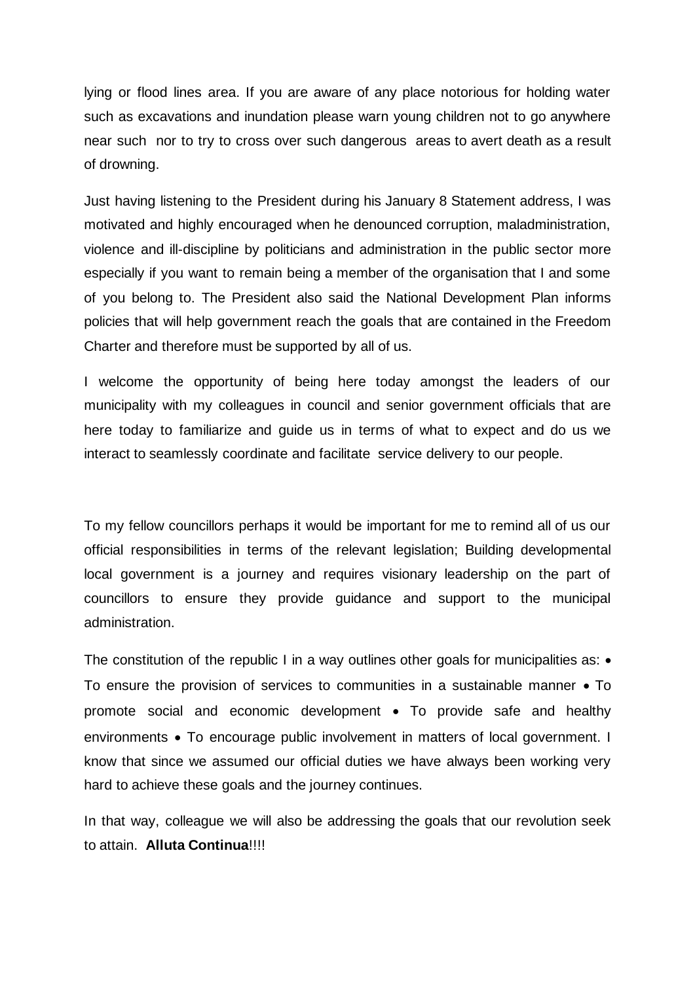lying or flood lines area. If you are aware of any place notorious for holding water such as excavations and inundation please warn young children not to go anywhere near such nor to try to cross over such dangerous areas to avert death as a result of drowning.

Just having listening to the President during his January 8 Statement address, I was motivated and highly encouraged when he denounced corruption, maladministration, violence and ill-discipline by politicians and administration in the public sector more especially if you want to remain being a member of the organisation that I and some of you belong to. The President also said the National Development Plan informs policies that will help government reach the goals that are contained in the Freedom Charter and therefore must be supported by all of us.

I welcome the opportunity of being here today amongst the leaders of our municipality with my colleagues in council and senior government officials that are here today to familiarize and guide us in terms of what to expect and do us we interact to seamlessly coordinate and facilitate service delivery to our people.

To my fellow councillors perhaps it would be important for me to remind all of us our official responsibilities in terms of the relevant legislation; Building developmental local government is a journey and requires visionary leadership on the part of councillors to ensure they provide guidance and support to the municipal administration.

The constitution of the republic I in a way outlines other goals for municipalities as:  $\bullet$ To ensure the provision of services to communities in a sustainable manner • To promote social and economic development • To provide safe and healthy environments • To encourage public involvement in matters of local government. I know that since we assumed our official duties we have always been working very hard to achieve these goals and the journey continues.

In that way, colleague we will also be addressing the goals that our revolution seek to attain. **Alluta Continua**!!!!